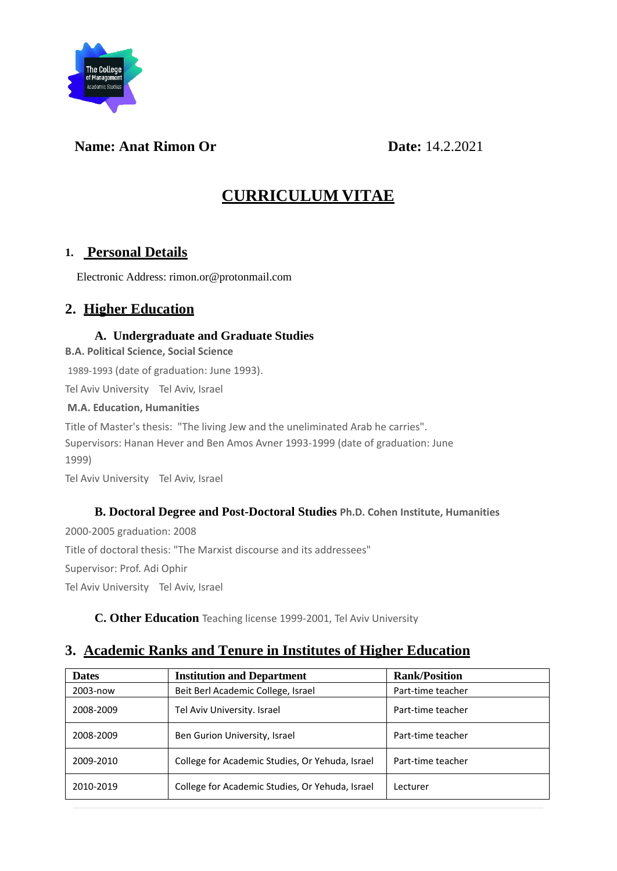

### **Name: Anat Rimon Or Date:** 14.2.2021

# **CURRICULUM VITAE**

### **1. Personal Details**

Electronic Address: rimon.or@protonmail.com

### **2. Higher Education**

#### **A. Undergraduate and Graduate Studies**

**B.A. Political Science, Social Science**

1989-1993 (date of graduation: June 1993).

Tel Aviv University Tel Aviv, Israel

#### **M.A. Education, Humanities**

Title of Master's thesis: "The living Jew and the uneliminated Arab he carries". Supervisors: Hanan Hever and Ben Amos Avner 1993-1999 (date of graduation: June 1999)

Tel Aviv University Tel Aviv, Israel

#### **B. Doctoral Degree and Post-Doctoral Studies Ph.D. Cohen Institute, Humanities**

2000-2005 graduation: 2008 Title of doctoral thesis: "The Marxist discourse and its addressees" Supervisor: Prof. Adi Ophir Tel Aviv University Tel Aviv, Israel

**C. Other Education** Teaching license 1999-2001, Tel Aviv University

# **3. Academic Ranks and Tenure in Institutes of Higher Education**

| <b>Dates</b> | <b>Institution and Department</b>                       | <b>Rank/Position</b> |  |
|--------------|---------------------------------------------------------|----------------------|--|
| 2003-now     | Beit Berl Academic College, Israel<br>Part-time teacher |                      |  |
| 2008-2009    | Part-time teacher<br>Tel Aviv University. Israel        |                      |  |
| 2008-2009    | Ben Gurion University, Israel                           | Part-time teacher    |  |
| 2009-2010    | College for Academic Studies, Or Yehuda, Israel         | Part-time teacher    |  |
| 2010-2019    | College for Academic Studies, Or Yehuda, Israel         | Lecturer             |  |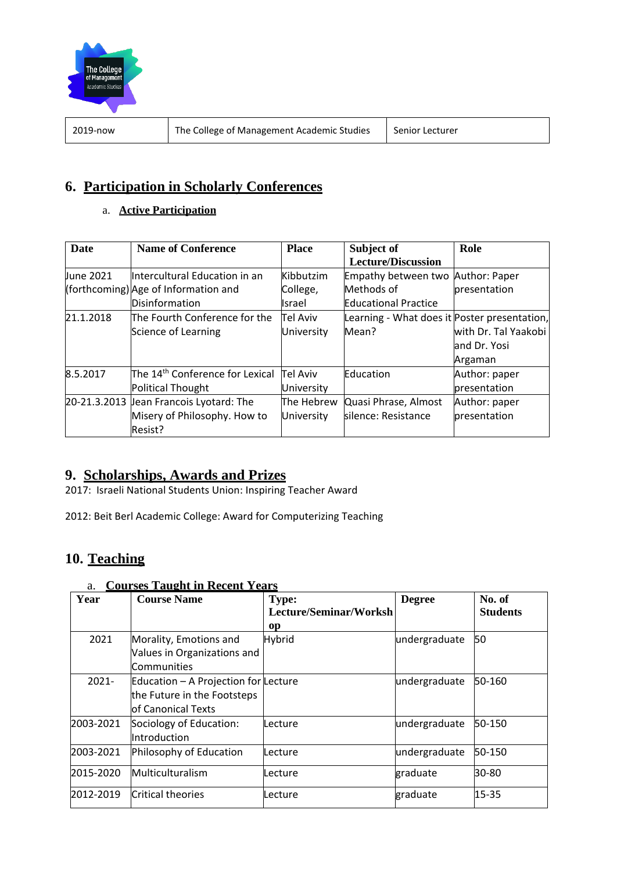

2019-now The College of Management Academic Studies | Senior Lecturer

# **6. Participation in Scholarly Conferences**

### a. **Active Participation**

| Date      | <b>Name of Conference</b>                   | <b>Place</b>  | Subject of                                   | Role                 |
|-----------|---------------------------------------------|---------------|----------------------------------------------|----------------------|
|           |                                             |               | <b>Lecture/Discussion</b>                    |                      |
| June 2021 | Intercultural Education in an               | Kibbutzim     | Empathy between two Author: Paper            |                      |
|           | (forthcoming) Age of Information and        | College,      | Methods of                                   | presentation         |
|           | Disinformation                              | <b>Israel</b> | <b>Educational Practice</b>                  |                      |
| 21.1.2018 | The Fourth Conference for the               | Tel Aviv      | Learning - What does it Poster presentation, |                      |
|           | Science of Learning                         | University    | Mean?                                        | with Dr. Tal Yaakobi |
|           |                                             |               |                                              | and Dr. Yosi         |
|           |                                             |               |                                              | Argaman              |
| 8.5.2017  | The 14 <sup>th</sup> Conference for Lexical | Tel Aviv      | Education                                    | Author: paper        |
|           | Political Thought                           | University    |                                              | presentation         |
|           | 20-21.3.2013 Jean Francois Lyotard: The     | The Hebrew    | Quasi Phrase, Almost                         | Author: paper        |
|           | Misery of Philosophy. How to                | University    | silence: Resistance                          | presentation         |
|           | Resist?                                     |               |                                              |                      |

# **9. Scholarships, Awards and Prizes**

2017: Israeli National Students Union: Inspiring Teacher Award

2012: Beit Berl Academic College: Award for Computerizing Teaching

# **10. Teaching**

| Year      | <b>Course Name</b>                                                                        | <b>Type:</b><br>Lecture/Seminar/Worksh | <b>Degree</b> | No. of<br><b>Students</b> |
|-----------|-------------------------------------------------------------------------------------------|----------------------------------------|---------------|---------------------------|
|           |                                                                                           | <sub>op</sub>                          |               |                           |
| 2021      | Morality, Emotions and<br>Values in Organizations and<br>Communities                      | <b>Hybrid</b>                          | undergraduate | 50                        |
| $2021 -$  | Education - A Projection for Lecture<br>the Future in the Footsteps<br>of Canonical Texts |                                        | undergraduate | 50-160                    |
| 2003-2021 | Sociology of Education:<br>Introduction                                                   | Lecture                                | undergraduate | 50-150                    |
| 2003-2021 | Philosophy of Education                                                                   | Lecture                                | undergraduate | 50-150                    |
| 2015-2020 | Multiculturalism                                                                          | Lecture                                | graduate      | 30-80                     |
| 2012-2019 | Critical theories                                                                         | Lecture                                | graduate      | $15 - 35$                 |

### a. **Courses Taught in Recent Years**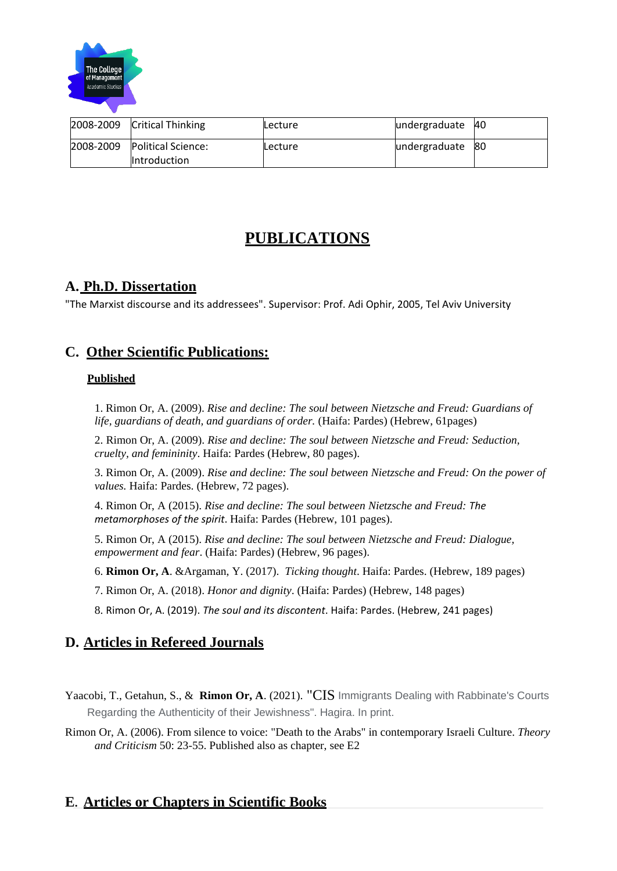

# **PUBLICATIONS**

### **A. Ph.D. Dissertation**

"The Marxist discourse and its addressees". Supervisor: Prof. Adi Ophir, 2005, Tel Aviv University

### **C. Other Scientific Publications:**

#### **Published**

1. Rimon Or, A. (2009). *Rise and decline: The soul between Nietzsche and Freud: Guardians of life, guardians of death, and guardians of order.* (Haifa: Pardes) (Hebrew, 61pages)

2. Rimon Or, A. (2009). *Rise and decline: The soul between Nietzsche and Freud: Seduction, cruelty, and femininity*. Haifa: Pardes (Hebrew, 80 pages).

3. Rimon Or, A. (2009). *Rise and decline: The soul between Nietzsche and Freud: On the power of values.* Haifa: Pardes. (Hebrew, 72 pages).

4. Rimon Or, A (2015). *Rise and decline: The soul between Nietzsche and Freud: The metamorphoses of the spirit*. Haifa: Pardes (Hebrew, 101 pages).

5. Rimon Or, A (2015). *Rise and decline: The soul between Nietzsche and Freud: Dialogue, empowerment and fear*. (Haifa: Pardes) (Hebrew, 96 pages).

6. **Rimon Or, A**. &Argaman, Y. (2017). *Ticking thought*. Haifa: Pardes. (Hebrew, 189 pages)

7. Rimon Or, A. (2018). *Honor and dignity*. (Haifa: Pardes) (Hebrew, 148 pages)

8. Rimon Or, A. (2019). *The soul and its discontent*. Haifa: Pardes. (Hebrew, 241 pages)

# **D. Articles in Refereed Journals**

Yaacobi, T., Getahun, S., & **Rimon Or, A**. (2021). "CIS Immigrants Dealing with Rabbinate's Courts Regarding the Authenticity of their Jewishness". Hagira. In print.

Rimon Or, A. (2006). From silence to voice: "Death to the Arabs" in contemporary Israeli Culture. *Theory and Criticism* 50: 23-55. Published also as chapter, see E2

### **E. Articles or Chapters in Scientific Books**